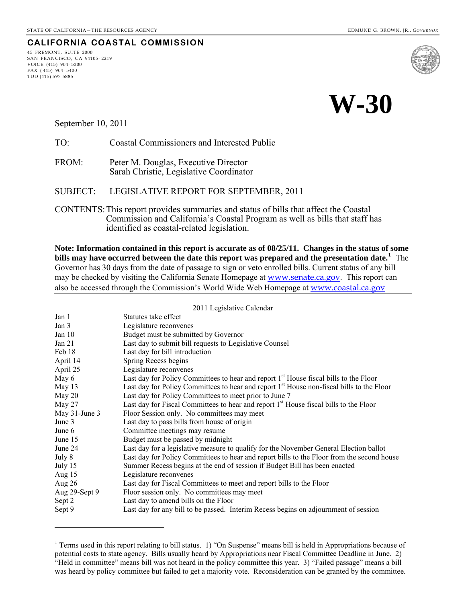45 FREMONT, SUITE 2000 SAN FRANCISCO, CA 94105- 2219

VOICE (415) 904- 5200 FAX ( 415) 904- 5400 TDD (415) 597-5885

 $\overline{a}$ 

**CALIFORNIA COASTAL COMMISSION**



September 10, 2011

TO: Coastal Commissioners and Interested Public

FROM: Peter M. Douglas, Executive Director Sarah Christie, Legislative Coordinator

SUBJECT: LEGISLATIVE REPORT FOR SEPTEMBER, 2011

CONTENTS: This report provides summaries and status of bills that affect the Coastal Commission and California's Coastal Program as well as bills that staff has identified as coastal-related legislation.

**Note: Information contained in this report is accurate as of 08/25/11. Changes in the status of some bills may have occurred between the date this report was prepared and the presentation date.[1](#page-0-0)** The Governor has 30 days from the date of passage to sign or veto enrolled bills. Current status of any bill may be checked by visiting the California Senate Homepage at [www.senate.ca.gov](http://www.senate.ca.gov/). This report can also be accessed through the Commission's World Wide Web Homepage at [www.coastal.ca.gov](http://www.coastal.ca.gov/)

2011 Legislative Calendar

| Statutes take effect                                                                                  |
|-------------------------------------------------------------------------------------------------------|
| Legislature reconvenes                                                                                |
| Budget must be submitted by Governor                                                                  |
| Last day to submit bill requests to Legislative Counsel                                               |
| Last day for bill introduction                                                                        |
| Spring Recess begins                                                                                  |
| Legislature reconvenes                                                                                |
| Last day for Policy Committees to hear and report 1 <sup>st</sup> House fiscal bills to the Floor     |
| Last day for Policy Committees to hear and report 1 <sup>st</sup> House non-fiscal bills to the Floor |
| Last day for Policy Committees to meet prior to June 7                                                |
| Last day for Fiscal Committees to hear and report 1 <sup>st</sup> House fiscal bills to the Floor     |
| Floor Session only. No committees may meet                                                            |
| Last day to pass bills from house of origin                                                           |
| Committee meetings may resume                                                                         |
| Budget must be passed by midnight                                                                     |
| Last day for a legislative measure to qualify for the November General Election ballot                |
| Last day for Policy Committees to hear and report bills to the Floor from the second house            |
| Summer Recess begins at the end of session if Budget Bill has been enacted                            |
| Legislature reconvenes                                                                                |
| Last day for Fiscal Committees to meet and report bills to the Floor                                  |
| Floor session only. No committees may meet                                                            |
| Last day to amend bills on the Floor                                                                  |
| Last day for any bill to be passed. Interim Recess begins on adjournment of session                   |
|                                                                                                       |

<span id="page-0-0"></span><sup>&</sup>lt;sup>1</sup> Terms used in this report relating to bill status. 1) "On Suspense" means bill is held in Appropriations because of potential costs to state agency. Bills usually heard by Appropriations near Fiscal Committee Deadline in June. 2) "Held in committee" means bill was not heard in the policy committee this year. 3) "Failed passage" means a bill was heard by policy committee but failed to get a majority vote. Reconsideration can be granted by the committee.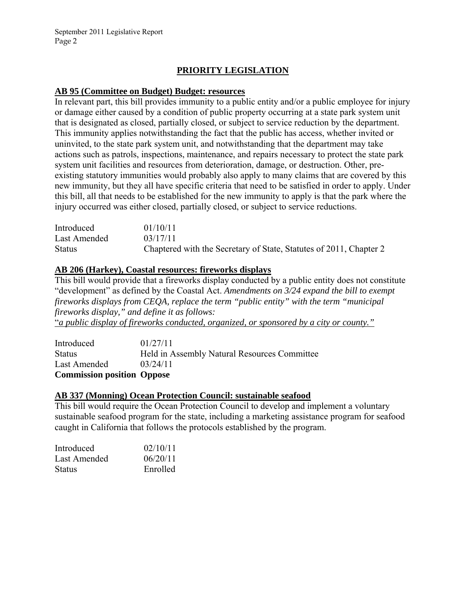# **PRIORITY LEGISLATION**

# **AB 95 (Committee on Budget) Budget: resources**

In relevant part, this bill provides immunity to a public entity and/or a public employee for injury or damage either caused by a condition of public property occurring at a state park system unit that is designated as closed, partially closed, or subject to service reduction by the department. This immunity applies notwithstanding the fact that the public has access, whether invited or uninvited, to the state park system unit, and notwithstanding that the department may take actions such as patrols, inspections, maintenance, and repairs necessary to protect the state park system unit facilities and resources from deterioration, damage, or destruction. Other, preexisting statutory immunities would probably also apply to many claims that are covered by this new immunity, but they all have specific criteria that need to be satisfied in order to apply. Under this bill, all that needs to be established for the new immunity to apply is that the park where the injury occurred was either closed, partially closed, or subject to service reductions.

| Introduced    | 01/10/11                                                           |
|---------------|--------------------------------------------------------------------|
| Last Amended  | 03/17/11                                                           |
| <b>Status</b> | Chaptered with the Secretary of State, Statutes of 2011, Chapter 2 |

#### **AB 206 (Harkey), Coastal resources: fireworks displays**

This bill would provide that a fireworks display conducted by a public entity does not constitute "development" as defined by the Coastal Act. *Amendments on 3/24 expand the bill to exempt fireworks displays from CEQA, replace the term "public entity" with the term "municipal fireworks display," and define it as follows:* 

"*a public display of fireworks conducted, organized, or sponsored by a city or county."*

| <b>Commission position Oppose</b> |                                              |
|-----------------------------------|----------------------------------------------|
| Last Amended                      | 03/24/11                                     |
| <b>Status</b>                     | Held in Assembly Natural Resources Committee |
| Introduced                        | 01/27/11                                     |

#### **AB 337 (Monning) Ocean Protection Council: sustainable seafood**

This bill would require the Ocean Protection Council to develop and implement a voluntary sustainable seafood program for the state, including a marketing assistance program for seafood caught in California that follows the protocols established by the program.

| Introduced    | 02/10/11 |
|---------------|----------|
| Last Amended  | 06/20/11 |
| <b>Status</b> | Enrolled |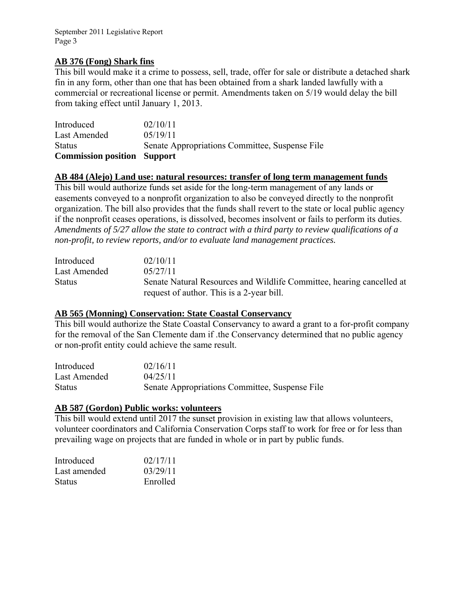# **AB 376 (Fong) Shark fins**

This bill would make it a crime to possess, sell, trade, offer for sale or distribute a detached shark fin in any form, other than one that has been obtained from a shark landed lawfully with a commercial or recreational license or permit. Amendments taken on 5/19 would delay the bill from taking effect until January 1, 2013.

| <b>Commission position Support</b> |                                                |
|------------------------------------|------------------------------------------------|
| <b>Status</b>                      | Senate Appropriations Committee, Suspense File |
| Last Amended                       | 05/19/11                                       |
| Introduced                         | 02/10/11                                       |

#### **AB 484 (Alejo) Land use: natural resources: transfer of long term management funds**

This bill would authorize funds set aside for the long-term management of any lands or easements conveyed to a nonprofit organization to also be conveyed directly to the nonprofit organization. The bill also provides that the funds shall revert to the state or local public agency if the nonprofit ceases operations, is dissolved, becomes insolvent or fails to perform its duties. *Amendments of 5/27 allow the state to contract with a third party to review qualifications of a non-profit, to review reports, and/or to evaluate land management practices.* 

| Introduced    | 02/10/11                                                              |
|---------------|-----------------------------------------------------------------------|
| Last Amended  | 0.5/27/11                                                             |
| <b>Status</b> | Senate Natural Resources and Wildlife Committee, hearing cancelled at |
|               | request of author. This is a 2-year bill.                             |

#### **AB 565 (Monning) Conservation: State Coastal Conservancy**

This bill would authorize the State Coastal Conservancy to award a grant to a for-profit company for the removal of the San Clemente dam if .the Conservancy determined that no public agency or non-profit entity could achieve the same result.

| Introduced    | 02/16/11                                       |
|---------------|------------------------------------------------|
| Last Amended  | 04/25/11                                       |
| <b>Status</b> | Senate Appropriations Committee, Suspense File |

#### **AB 587 (Gordon) Public works: volunteers**

This bill would extend until 2017 the sunset provision in existing law that allows volunteers, volunteer coordinators and California Conservation Corps staff to work for free or for less than prevailing wage on projects that are funded in whole or in part by public funds.

| Introduced    | 02/17/11 |
|---------------|----------|
| Last amended  | 03/29/11 |
| <b>Status</b> | Enrolled |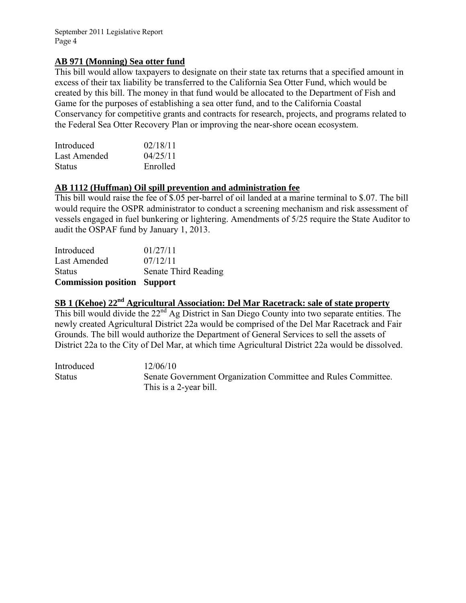# **AB 971 (Monning) Sea otter fund**

This bill would allow taxpayers to designate on their state tax returns that a specified amount in excess of their tax liability be transferred to the California Sea Otter Fund, which would be created by this bill. The money in that fund would be allocated to the Department of Fish and Game for the purposes of establishing a sea otter fund, and to the California Coastal Conservancy for competitive grants and contracts for research, projects, and programs related to the Federal Sea Otter Recovery Plan or improving the near-shore ocean ecosystem.

| Introduced    | 02/18/11 |
|---------------|----------|
| Last Amended  | 04/25/11 |
| <b>Status</b> | Enrolled |

# **AB 1112 (Huffman) Oil spill prevention and administration fee**

This bill would raise the fee of \$.05 per-barrel of oil landed at a marine terminal to \$.07. The bill would require the OSPR administrator to conduct a screening mechanism and risk assessment of vessels engaged in fuel bunkering or lightering. Amendments of 5/25 require the State Auditor to audit the OSPAF fund by January 1, 2013.

| <b>Commission position Support</b> |                      |
|------------------------------------|----------------------|
| <b>Status</b>                      | Senate Third Reading |
| Last Amended                       | 07/12/11             |
| Introduced                         | 01/27/11             |

# **SB 1 (Kehoe) 22nd Agricultural Association: Del Mar Racetrack: sale of state property**

This bill would divide the 22<sup>nd</sup> Ag District in San Diego County into two separate entities. The newly created Agricultural District 22a would be comprised of the Del Mar Racetrack and Fair Grounds. The bill would authorize the Department of General Services to sell the assets of District 22a to the City of Del Mar, at which time Agricultural District 22a would be dissolved.

Introduced 12/06/10 Status Senate Government Organization Committee and Rules Committee. This is a 2-year bill.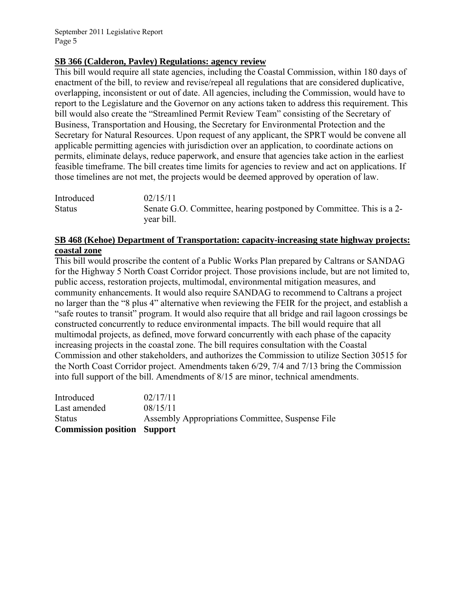#### **SB 366 (Calderon, Pavley) Regulations: agency review**

This bill would require all state agencies, including the Coastal Commission, within 180 days of enactment of the bill, to review and revise/repeal all regulations that are considered duplicative, overlapping, inconsistent or out of date. All agencies, including the Commission, would have to report to the Legislature and the Governor on any actions taken to address this requirement. This bill would also create the "Streamlined Permit Review Team" consisting of the Secretary of Business, Transportation and Housing, the Secretary for Environmental Protection and the Secretary for Natural Resources. Upon request of any applicant, the SPRT would be convene all applicable permitting agencies with jurisdiction over an application, to coordinate actions on permits, eliminate delays, reduce paperwork, and ensure that agencies take action in the earliest feasible timeframe. The bill creates time limits for agencies to review and act on applications. If those timelines are not met, the projects would be deemed approved by operation of law.

| Introduced    | 02/15/11                                                                          |
|---------------|-----------------------------------------------------------------------------------|
| <b>Status</b> | Senate G.O. Committee, hearing postponed by Committee. This is a 2-<br>year bill. |

# **SB 468 (Kehoe) Department of Transportation: capacity-increasing state highway projects: coastal zone**

This bill would proscribe the content of a Public Works Plan prepared by Caltrans or SANDAG for the Highway 5 North Coast Corridor project. Those provisions include, but are not limited to, public access, restoration projects, multimodal, environmental mitigation measures, and community enhancements. It would also require SANDAG to recommend to Caltrans a project no larger than the "8 plus 4" alternative when reviewing the FEIR for the project, and establish a "safe routes to transit" program. It would also require that all bridge and rail lagoon crossings be constructed concurrently to reduce environmental impacts. The bill would require that all multimodal projects, as defined, move forward concurrently with each phase of the capacity increasing projects in the coastal zone. The bill requires consultation with the Coastal Commission and other stakeholders, and authorizes the Commission to utilize Section 30515 for the North Coast Corridor project. Amendments taken 6/29, 7/4 and 7/13 bring the Commission into full support of the bill. Amendments of 8/15 are minor, technical amendments.

| <b>Commission position Support</b> |                                                  |
|------------------------------------|--------------------------------------------------|
| <b>Status</b>                      | Assembly Appropriations Committee, Suspense File |
| Last amended                       | 08/15/11                                         |
| Introduced                         | 02/17/11                                         |